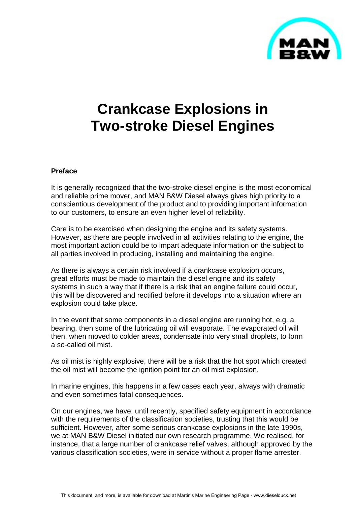

# **Crankcase Explosions in Two-stroke Diesel Engines**

#### **Preface**

It is generally recognized that the two-stroke diesel engine is the most economical and reliable prime mover, and MAN B&W Diesel always gives high priority to a conscientious development of the product and to providing important information to our customers, to ensure an even higher level of reliability.

Care is to be exercised when designing the engine and its safety systems. However, as there are people involved in all activities relating to the engine, the most important action could be to impart adequate information on the subject to all parties involved in producing, installing and maintaining the engine.

As there is always a certain risk involved if a crankcase explosion occurs, great efforts must be made to maintain the diesel engine and its safety systems in such a way that if there is a risk that an engine failure could occur, this will be discovered and rectified before it develops into a situation where an explosion could take place.

In the event that some components in a diesel engine are running hot, e.g. a bearing, then some of the lubricating oil will evaporate. The evaporated oil will then, when moved to colder areas, condensate into very small droplets, to form a so-called oil mist.

As oil mist is highly explosive, there will be a risk that the hot spot which created the oil mist will become the ignition point for an oil mist explosion.

In marine engines, this happens in a few cases each year, always with dramatic and even sometimes fatal consequences.

On our engines, we have, until recently, specified safety equipment in accordance with the requirements of the classification societies, trusting that this would be sufficient. However, after some serious crankcase explosions in the late 1990s, we at MAN B&W Diesel initiated our own research programme. We realised, for instance, that a large number of crankcase relief valves, although approved by the various classification societies, were in service without a proper flame arrester.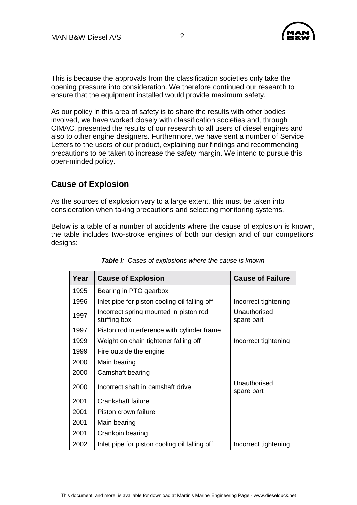

This is because the approvals from the classification societies only take the opening pressure into consideration. We therefore continued our research to ensure that the equipment installed would provide maximum safety.

As our policy in this area of safety is to share the results with other bodies involved, we have worked closely with classification societies and, through CIMAC, presented the results of our research to all users of diesel engines and also to other engine designers. Furthermore, we have sent a number of Service Letters to the users of our product, explaining our findings and recommending precautions to be taken to increase the safety margin. We intend to pursue this open-minded policy.

# **Cause of Explosion**

As the sources of explosion vary to a large extent, this must be taken into consideration when taking precautions and selecting monitoring systems.

Below is a table of a number of accidents where the cause of explosion is known, the table includes two-stroke engines of both our design and of our competitors' designs:

| Year | <b>Cause of Explosion</b>                              | <b>Cause of Failure</b>    |
|------|--------------------------------------------------------|----------------------------|
| 1995 | Bearing in PTO gearbox                                 |                            |
| 1996 | Inlet pipe for piston cooling oil falling off          | Incorrect tightening       |
| 1997 | Incorrect spring mounted in piston rod<br>stuffing box | Unauthorised<br>spare part |
| 1997 | Piston rod interference with cylinder frame            |                            |
| 1999 | Weight on chain tightener falling off                  | Incorrect tightening       |
| 1999 | Fire outside the engine                                |                            |
| 2000 | Main bearing                                           |                            |
| 2000 | Camshaft bearing                                       |                            |
| 2000 | Incorrect shaft in camshaft drive                      | Unauthorised<br>spare part |
| 2001 | Crankshaft failure                                     |                            |
| 2001 | Piston crown failure                                   |                            |
| 2001 | Main bearing                                           |                            |
| 2001 | Crankpin bearing                                       |                            |
| 2002 | Inlet pipe for piston cooling oil falling off          | Incorrect tightening       |

|  |  | <b>Table I:</b> Cases of explosions where the cause is known |  |  |  |  |
|--|--|--------------------------------------------------------------|--|--|--|--|
|--|--|--------------------------------------------------------------|--|--|--|--|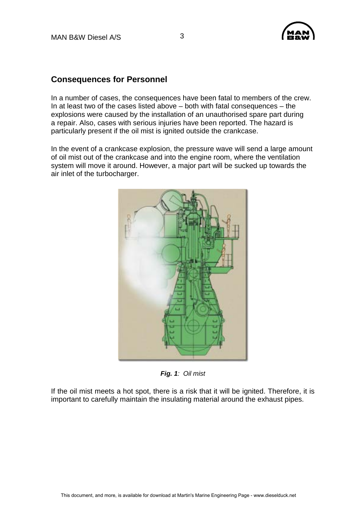

#### **Consequences for Personnel**

In a number of cases, the consequences have been fatal to members of the crew. In at least two of the cases listed above – both with fatal consequences – the explosions were caused by the installation of an unauthorised spare part during a repair. Also, cases with serious injuries have been reported. The hazard is particularly present if the oil mist is ignited outside the crankcase.

In the event of a crankcase explosion, the pressure wave will send a large amount of oil mist out of the crankcase and into the engine room, where the ventilation system will move it around. However, a major part will be sucked up towards the air inlet of the turbocharger.



*Fig. 1: Oil mist* 

If the oil mist meets a hot spot, there is a risk that it will be ignited. Therefore, it is important to carefully maintain the insulating material around the exhaust pipes.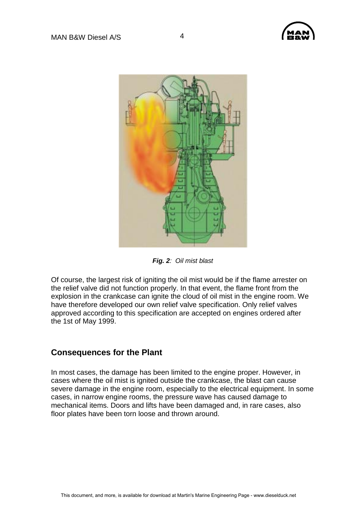



*Fig. 2: Oil mist blast* 

Of course, the largest risk of igniting the oil mist would be if the flame arrester on the relief valve did not function properly. In that event, the flame front from the explosion in the crankcase can ignite the cloud of oil mist in the engine room. We have therefore developed our own relief valve specification. Only relief valves approved according to this specification are accepted on engines ordered after the 1st of May 1999.

#### **Consequences for the Plant**

In most cases, the damage has been limited to the engine proper. However, in cases where the oil mist is ignited outside the crankcase, the blast can cause severe damage in the engine room, especially to the electrical equipment. In some cases, in narrow engine rooms, the pressure wave has caused damage to mechanical items. Doors and lifts have been damaged and, in rare cases, also floor plates have been torn loose and thrown around.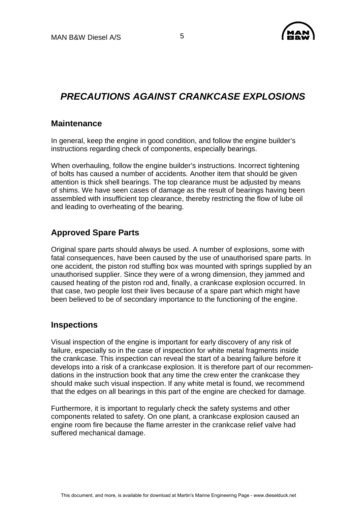

# *PRECAUTIONS AGAINST CRANKCASE EXPLOSIONS*

#### **Maintenance**

In general, keep the engine in good condition, and follow the engine builder's instructions regarding check of components, especially bearings.

When overhauling, follow the engine builder's instructions. Incorrect tightening of bolts has caused a number of accidents. Another item that should be given attention is thick shell bearings. The top clearance must be adjusted by means of shims. We have seen cases of damage as the result of bearings having been assembled with insufficient top clearance, thereby restricting the flow of lube oil and leading to overheating of the bearing.

## **Approved Spare Parts**

Original spare parts should always be used. A number of explosions, some with fatal consequences, have been caused by the use of unauthorised spare parts. In one accident, the piston rod stuffing box was mounted with springs supplied by an unauthorised supplier. Since they were of a wrong dimension, they jammed and caused heating of the piston rod and, finally, a crankcase explosion occurred. In that case, two people lost their lives because of a spare part which might have been believed to be of secondary importance to the functioning of the engine.

#### **Inspections**

Visual inspection of the engine is important for early discovery of any risk of failure, especially so in the case of inspection for white metal fragments inside the crankcase. This inspection can reveal the start of a bearing failure before it develops into a risk of a crankcase explosion. It is therefore part of our recommendations in the instruction book that any time the crew enter the crankcase they should make such visual inspection. If any white metal is found, we recommend that the edges on all bearings in this part of the engine are checked for damage.

Furthermore, it is important to regularly check the safety systems and other components related to safety. On one plant, a crankcase explosion caused an engine room fire because the flame arrester in the crankcase relief valve had suffered mechanical damage.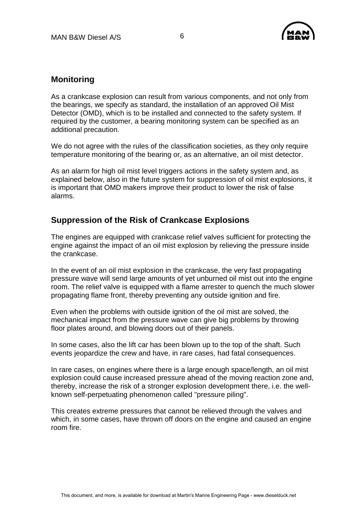

#### **Monitoring**

As a crankcase explosion can result from various components, and not only from the bearings, we specify as standard, the installation of an approved Oil Mist Detector (OMD), which is to be installed and connected to the safety system. If required by the customer, a bearing monitoring system can be specified as an additional precaution.

We do not agree with the rules of the classification societies, as they only require temperature monitoring of the bearing or, as an alternative, an oil mist detector.

As an alarm for high oil mist level triggers actions in the safety system and, as explained below, also in the future system for suppression of oil mist explosions, it is important that OMD makers improve their product to lower the risk of false alarms.

## **Suppression of the Risk of Crankcase Explosions**

The engines are equipped with crankcase relief valves sufficient for protecting the engine against the impact of an oil mist explosion by relieving the pressure inside the crankcase.

In the event of an oil mist explosion in the crankcase, the very fast propagating pressure wave will send large amounts of yet unburned oil mist out into the engine room. The relief valve is equipped with a flame arrester to quench the much slower propagating flame front, thereby preventing any outside ignition and fire.

Even when the problems with outside ignition of the oil mist are solved, the mechanical impact from the pressure wave can give big problems by throwing floor plates around, and blowing doors out of their panels.

In some cases, also the lift car has been blown up to the top of the shaft. Such events jeopardize the crew and have, in rare cases, had fatal consequences.

In rare cases, on engines where there is a large enough space/length, an oil mist explosion could cause increased pressure ahead of the moving reaction zone and, thereby, increase the risk of a stronger explosion development there, i.e. the wellknown self-perpetuating phenomenon called "pressure piling".

This creates extreme pressures that cannot be relieved through the valves and which, in some cases, have thrown off doors on the engine and caused an engine room fire.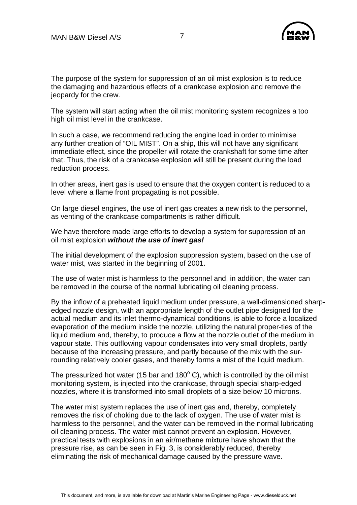

The purpose of the system for suppression of an oil mist explosion is to reduce the damaging and hazardous effects of a crankcase explosion and remove the jeopardy for the crew.

The system will start acting when the oil mist monitoring system recognizes a too high oil mist level in the crankcase.

In such a case, we recommend reducing the engine load in order to minimise any further creation of "OIL MIST". On a ship, this will not have any significant immediate effect, since the propeller will rotate the crankshaft for some time after that. Thus, the risk of a crankcase explosion will still be present during the load reduction process.

In other areas, inert gas is used to ensure that the oxygen content is reduced to a level where a flame front propagating is not possible.

On large diesel engines, the use of inert gas creates a new risk to the personnel, as venting of the crankcase compartments is rather difficult.

We have therefore made large efforts to develop a system for suppression of an oil mist explosion *without the use of inert gas!* 

The initial development of the explosion suppression system, based on the use of water mist, was started in the beginning of 2001.

The use of water mist is harmless to the personnel and, in addition, the water can be removed in the course of the normal lubricating oil cleaning process.

By the inflow of a preheated liquid medium under pressure, a well-dimensioned sharpedged nozzle design, with an appropriate length of the outlet pipe designed for the actual medium and its inlet thermo-dynamical conditions, is able to force a localized evaporation of the medium inside the nozzle, utilizing the natural proper-ties of the liquid medium and, thereby, to produce a flow at the nozzle outlet of the medium in vapour state. This outflowing vapour condensates into very small droplets, partly because of the increasing pressure, and partly because of the mix with the surrounding relatively cooler gases, and thereby forms a mist of the liquid medium.

The pressurized hot water (15 bar and 180 $^{\circ}$  C), which is controlled by the oil mist monitoring system, is injected into the crankcase, through special sharp-edged nozzles, where it is transformed into small droplets of a size below 10 microns.

The water mist system replaces the use of inert gas and, thereby, completely removes the risk of choking due to the lack of oxygen. The use of water mist is harmless to the personnel, and the water can be removed in the normal lubricating oil cleaning process. The water mist cannot prevent an explosion. However, practical tests with explosions in an air/methane mixture have shown that the pressure rise, as can be seen in Fig. 3, is considerably reduced, thereby eliminating the risk of mechanical damage caused by the pressure wave.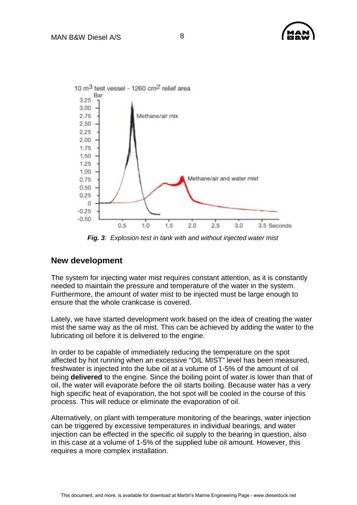

*Fig. 3: Explosion test in tank with and without injected water mist* 

#### **New development**

The system for injecting water mist requires constant attention, as it is constantly needed to maintain the pressure and temperature of the water in the system. Furthermore, the amount of water mist to be injected must be large enough to ensure that the whole crankcase is covered.

Lately, we have started development work based on the idea of creating the water mist the same way as the oil mist. This can be achieved by adding the water to the lubricating oil before it is delivered to the engine.

In order to be capable of immediately reducing the temperature on the spot affected by hot running when an excessive "OIL MIST" level has been measured, freshwater is injected into the lube oil at a volume of 1-5% of the amount of oil being **delivered** to the engine. Since the boiling point of water is lower than that of oil, the water will evaporate before the oil starts boiling. Because water has a very high specific heat of evaporation, the hot spot will be cooled in the course of this process. This will reduce or eliminate the evaporation of oil.

Alternatively, on plant with temperature monitoring of the bearings, water injection can be triggered by excessive temperatures in individual bearings, and water injection can be effected in the specific oil supply to the bearing in question, also in this case at a volume of 1-5% of the supplied lube oil amount. However, this requires a more complex installation.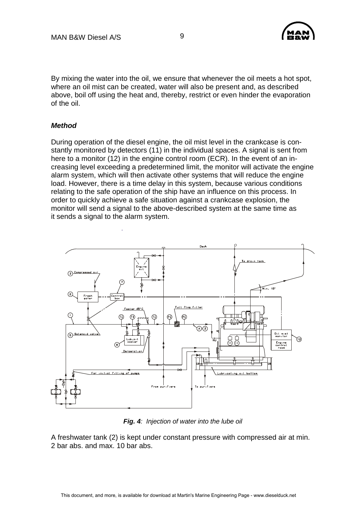

By mixing the water into the oil, we ensure that whenever the oil meets a hot spot, where an oil mist can be created, water will also be present and, as described above, boil off using the heat and, thereby, restrict or even hinder the evaporation of the oil.

#### *Method*

During operation of the diesel engine, the oil mist level in the crankcase is constantly monitored by detectors (11) in the individual spaces. A signal is sent from here to a monitor (12) in the engine control room (ECR). In the event of an increasing level exceeding a predetermined limit, the monitor will activate the engine alarm system, which will then activate other systems that will reduce the engine load. However, there is a time delay in this system, because various conditions relating to the safe operation of the ship have an influence on this process. In order to quickly achieve a safe situation against a crankcase explosion, the monitor will send a signal to the above-described system at the same time as it sends a signal to the alarm system.



*Fig. 4: Injection of water into the lube oil* 

A freshwater tank (2) is kept under constant pressure with compressed air at min. 2 bar abs. and max. 10 bar abs.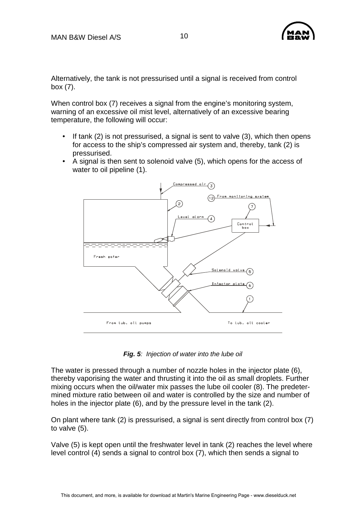

Alternatively, the tank is not pressurised until a signal is received from control box (7).

When control box (7) receives a signal from the engine's monitoring system, warning of an excessive oil mist level, alternatively of an excessive bearing temperature, the following will occur:

- If tank  $(2)$  is not pressurised, a signal is sent to valve  $(3)$ , which then opens for access to the ship's compressed air system and, thereby, tank (2) is pressurised.
- A signal is then sent to solenoid valve (5), which opens for the access of water to oil pipeline (1).



*Fig. 5: Injection of water into the lube oil* 

The water is pressed through a number of nozzle holes in the injector plate (6), thereby vaporising the water and thrusting it into the oil as small droplets. Further mixing occurs when the oil/water mix passes the lube oil cooler (8). The predetermined mixture ratio between oil and water is controlled by the size and number of holes in the injector plate (6), and by the pressure level in the tank (2).

On plant where tank (2) is pressurised, a signal is sent directly from control box (7) to valve (5).

Valve (5) is kept open until the freshwater level in tank (2) reaches the level where level control (4) sends a signal to control box (7), which then sends a signal to